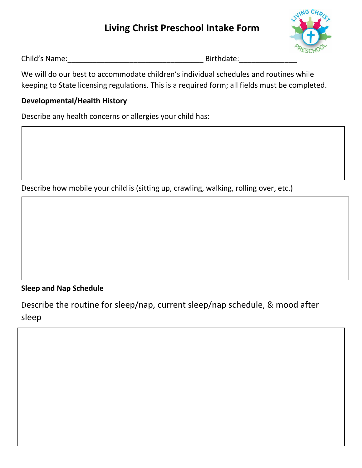# **Living Christ Preschool Intake Form**



| Child's Name: |  |
|---------------|--|
|               |  |

Birthdate:

We will do our best to accommodate children's individual schedules and routines while keeping to State licensing regulations. This is a required form; all fields must be completed.

## **Developmental/Health History**

Describe any health concerns or allergies your child has:

Describe how mobile your child is (sitting up, crawling, walking, rolling over, etc.)

# **Sleep and Nap Schedule**

Describe the routine for sleep/nap, current sleep/nap schedule, & mood after sleep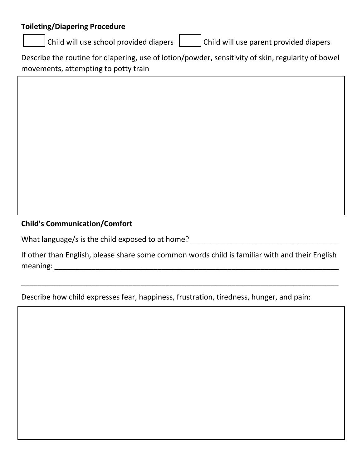#### **Toileting/Diapering Procedure**

**Child will use school provided diapers**  $\begin{bmatrix} \cdot & \cdot \\ \cdot & \cdot \end{bmatrix}$  **Child will use parent provided diapers** 

Describe the routine for diapering, use of lotion/powder, sensitivity of skin, regularity of bowel movements, attempting to potty train

## **Child's Communication/Comfort**

What language/s is the child exposed to at home? \_\_\_\_\_\_\_\_\_\_\_\_\_\_\_\_\_\_\_\_\_\_\_\_\_\_\_\_\_\_\_\_

If other than English, please share some common words child is familiar with and their English meaning: \_\_\_\_\_\_\_\_\_\_\_\_\_\_\_\_\_\_\_\_\_\_\_\_\_\_\_\_\_\_\_\_\_\_\_\_\_\_\_\_\_\_\_\_\_\_\_\_\_\_\_\_\_\_\_\_\_\_\_\_\_\_\_\_\_\_\_\_\_

\_\_\_\_\_\_\_\_\_\_\_\_\_\_\_\_\_\_\_\_\_\_\_\_\_\_\_\_\_\_\_\_\_\_\_\_\_\_\_\_\_\_\_\_\_\_\_\_\_\_\_\_\_\_\_\_\_\_\_\_\_\_\_\_\_\_\_\_\_\_\_\_\_\_\_\_\_

Describe how child expresses fear, happiness, frustration, tiredness, hunger, and pain: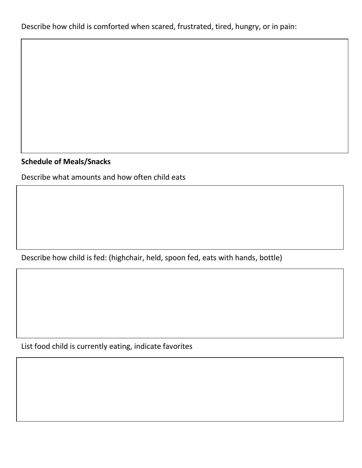Describe how child is comforted when scared, frustrated, tired, hungry, or in pain:

#### **Schedule of Meals/Snacks**

Describe what amounts and how often child eats

Describe how child is fed: (highchair, held, spoon fed, eats with hands, bottle)

List food child is currently eating, indicate favorites